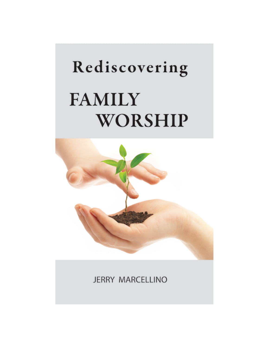# Rediscovering **FAMILY** WORSHIP



JERRY MARCELLINO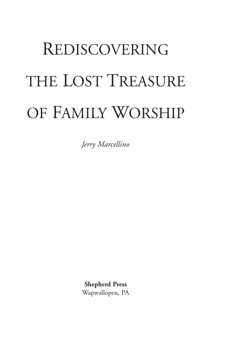## REDISCOVERING THE LOST TREASURE OF FAMILY WORSHIP

*Jerry Marcellino*

**Shepherd Press** Wapwallopen, PA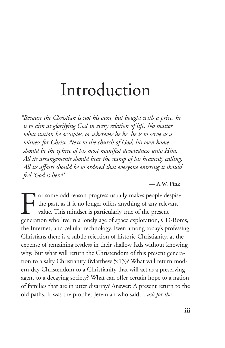## Introduction

*"Because the Christian is not his own, but bought with a price, he is to aim at glorifying God in every relation of life. No matter what station he occupies, or wherever he be, he is to serve as a witness for Christ. Next to the church of God, his own home should be the sphere of his most manifest devotedness unto Him. All its arrangements should bear the stamp of his heavenly calling. All its affairs should be so ordered that everyone entering it should feel 'God is here!'"*

**— A.W. Pink**

For some odd reason progress usually makes people despise<br>the past, as if it no longer offers anything of any relevant<br>value. This mindset is particularly true of the present<br>generation who live in a lonely age of space ex the past, as if it no longer offers anything of any relevant value. This mindset is particularly true of the present generation who live in a lonely age of space exploration, CD-Roms, the Internet, and cellular technology. Even among today's professing Christians there is a subtle rejection of historic Christianity, at the expense of remaining restless in their shallow fads without knowing why. But what will return the Christendom of this present generation to a salty Christianity (Matthew 5:13)? What will return modern-day Christendom to a Christianity that will act as a preserving agent to a decaying society? What can offer certain hope to a nation of families that are in utter disarray? Answer: A present return to the old paths. It was the prophet Jeremiah who said, *...ask for the*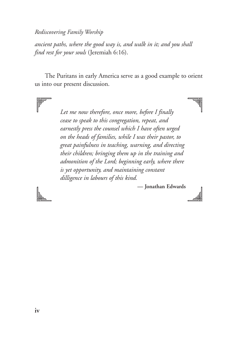*ancient paths, where the good way is, and walk in it; and you shall find rest for your souls* (Jeremiah 6:16).

The Puritans in early America serve as a good example to orient us into our present discussion.

> *Let me now therefore, once more, before I finally cease to speak to this congregation, repeat, and earnestly press the counsel which I have often urged on the heads of families, while I was their pastor, to great painfulness in teaching, warning, and directing their children; bringing them up in the training and admonition of the Lord; beginning early, where there is yet opportunity, and maintaining constant dilligence in labours of this kind.*



**— Jonathan Edwards**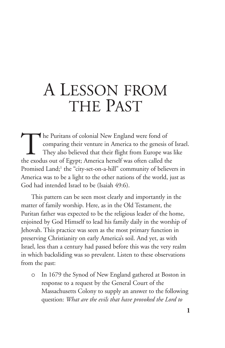### A LESSON FROM THE PAST

The Puritans of colonial New England were fond of<br>comparing their venture in America to the genesis<br>They also believed that their flight from Europe w<br>the exodus out of Egypt: America herself was often called the comparing their venture in America to the genesis of Israel. They also believed that their flight from Europe was like the exodus out of Egypt; America herself was often called the Promised Land;<sup>1</sup> the "city-set-on-a-hill" community of believers in America was to be a light to the other nations of the world, just as God had intended Israel to be (Isaiah 49:6).

This pattern can be seen most clearly and importantly in the matter of family worship. Here, as in the Old Testament, the Puritan father was expected to be the religious leader of the home, enjoined by God Himself to lead his family daily in the worship of Jehovah. This practice was seen as the most primary function in preserving Christianity on early America's soil. And yet, as with Israel, less than a century had passed before this was the very realm in which backsliding was so prevalent. Listen to these observations from the past:

o In 1679 the Synod of New England gathered at Boston in response to a request by the General Court of the Massachusetts Colony to supply an answer to the following question: *What are the evils that have provoked the Lord to*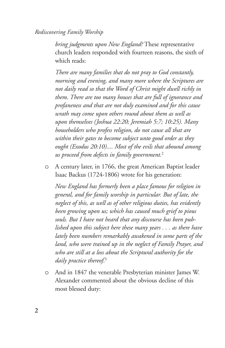*bring judgments upon New England?* These representative church leaders responded with fourteen reasons, the sixth of which reads:

*There are many families that do not pray to God constantly, morning and evening, and many more where the Scriptures are not daily read so that the Word of Christ might dwell richly in them. There are too many houses that are full of ignorance and profaneness and that are not duly examined and for this cause wrath may come upon others round about them as well as upon themselves (Joshua 22:20; Jeremiah 5:7; 10:25). Many householders who profess religion, do not cause all that are within their gates to become subject unto good order as they ought (Exodus 20:10).... Most of the evils that abound among us proceed from defects in family government.*<sup>2</sup>

o A century later, in 1766, the great American Baptist leader Isaac Backus (1724-1806) wrote for his generation:

*New England has formerly been a place famous for religion in general, and for family worship in particular. But of late, the neglect of this, as well as of other religious duties, has evidently been growing upon us; which has caused much grief to pious souls. But I have not heard that any discourse has been published upon this subject here these many years . . . as there have lately been numbers remarkably awakened in some parts of the land, who were trained up in the neglect of Family Prayer, and who are still at a loss about the Scriptural authority for the daily practice thereof*. 3

o And in 1847 the venerable Presbyterian minister James W. Alexander commented about the obvious decline of this most blessed duty: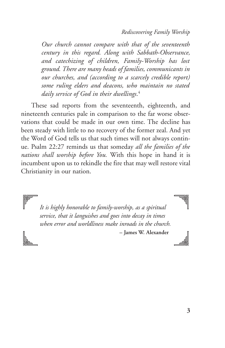*Our church cannot compare with that of the seventeenth century in this regard. Along with Sabbath-Observance, and catechizing of children, Family-Worship has lost ground. There are many heads of families, communicants in our churches, and (according to a scarcely credible report) some ruling elders and deacons, who maintain no stated daily service of God in their dwellings*. 4

These sad reports from the seventeenth, eighteenth, and nineteenth centuries pale in comparison to the far worse observations that could be made in our own time. The decline has been steady with little to no recovery of the former zeal. And yet the Word of God tells us that such times will not always continue. Psalm 22:27 reminds us that someday *all the families of the nations shall worship before You.* With this hope in hand it is incumbent upon us to rekindle the fire that may well restore vital Christianity in our nation.

*It is highly honorable to family-worship, as a spiritual service, that it languishes and goes into decay in times when error and worldliness make inroads in the church.* **– James W. Alexander**